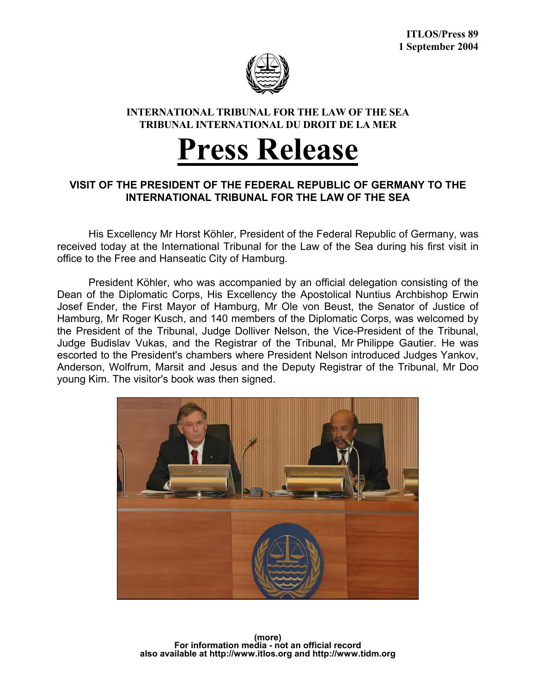

## **INTERNATIONAL TRIBUNAL FOR THE LAW OF THE SEA TRIBUNAL INTERNATIONAL DU DROIT DE LA MER**

## **Press Release**

## **VISIT OF THE PRESIDENT OF THE FEDERAL REPUBLIC OF GERMANY TO THE INTERNATIONAL TRIBUNAL FOR THE LAW OF THE SEA**

 His Excellency Mr Horst Köhler, President of the Federal Republic of Germany, was received today at the International Tribunal for the Law of the Sea during his first visit in office to the Free and Hanseatic City of Hamburg.

 President Köhler, who was accompanied by an official delegation consisting of the Dean of the Diplomatic Corps, His Excellency the Apostolical Nuntius Archbishop Erwin Josef Ender, the First Mayor of Hamburg, Mr Ole von Beust, the Senator of Justice of Hamburg, Mr Roger Kusch, and 140 members of the Diplomatic Corps, was welcomed by the President of the Tribunal, Judge Dolliver Nelson, the Vice-President of the Tribunal, Judge Budislav Vukas, and the Registrar of the Tribunal, Mr Philippe Gautier. He was escorted to the President's chambers where President Nelson introduced Judges Yankov, Anderson, Wolfrum, Marsit and Jesus and the Deputy Registrar of the Tribunal, Mr Doo young Kim. The visitor's book was then signed.